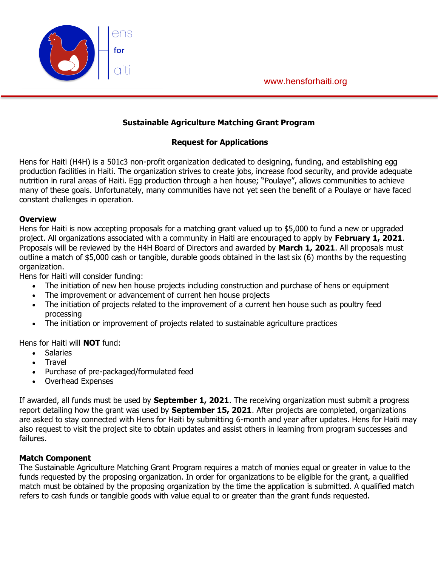



### **Sustainable Agriculture Matching Grant Program**

### **Request for Applications**

Hens for Haiti (H4H) is a 501c3 non-profit organization dedicated to designing, funding, and establishing egg production facilities in Haiti. The organization strives to create jobs, increase food security, and provide adequate nutrition in rural areas of Haiti. Egg production through a hen house; "Poulaye", allows communities to achieve many of these goals. Unfortunately, many communities have not yet seen the benefit of a Poulaye or have faced constant challenges in operation.

#### **Overview**

Hens for Haiti is now accepting proposals for a matching grant valued up to \$5,000 to fund a new or upgraded project. All organizations associated with a community in Haiti are encouraged to apply by **February 1, 2021**. Proposals will be reviewed by the H4H Board of Directors and awarded by **March 1, 2021**. All proposals must outline a match of \$5,000 cash or tangible, durable goods obtained in the last six (6) months by the requesting organization.

Hens for Haiti will consider funding:

- The initiation of new hen house projects including construction and purchase of hens or equipment
- The improvement or advancement of current hen house projects
- The initiation of projects related to the improvement of a current hen house such as poultry feed processing
- The initiation or improvement of projects related to sustainable agriculture practices

Hens for Haiti will **NOT** fund:

- Salaries
- **Travel**
- Purchase of pre-packaged/formulated feed
- Overhead Expenses

If awarded, all funds must be used by **September 1, 2021**. The receiving organization must submit a progress report detailing how the grant was used by **September 15, 2021**. After projects are completed, organizations are asked to stay connected with Hens for Haiti by submitting 6-month and year after updates. Hens for Haiti may also request to visit the project site to obtain updates and assist others in learning from program successes and failures.

### **Match Component**

The Sustainable Agriculture Matching Grant Program requires a match of monies equal or greater in value to the funds requested by the proposing organization. In order for organizations to be eligible for the grant, a qualified match must be obtained by the proposing organization by the time the application is submitted. A qualified match refers to cash funds or tangible goods with value equal to or greater than the grant funds requested.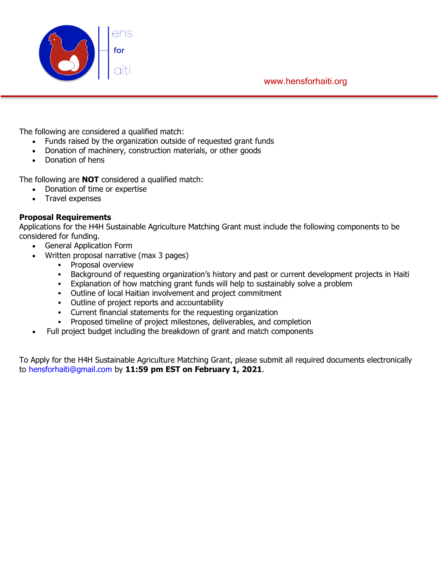

www.hensforhaiti.org

The following are considered a qualified match:

- Funds raised by the organization outside of requested grant funds
- Donation of machinery, construction materials, or other goods
- Donation of hens

The following are **NOT** considered a qualified match:

- Donation of time or expertise
- Travel expenses

### **Proposal Requirements**

Applications for the H4H Sustainable Agriculture Matching Grant must include the following components to be considered for funding.

- General Application Form
- Written proposal narrative (max 3 pages)
	- **•** Proposal overview
	- **Background of requesting organization's history and past or current development projects in Haiti**
	- **Explanation of how matching grant funds will help to sustainably solve a problem**
	- Outline of local Haitian involvement and project commitment
	- Outline of project reports and accountability
	- Current financial statements for the requesting organization
	- **•** Proposed timeline of project milestones, deliverables, and completion
- Full project budget including the breakdown of grant and match components

To Apply for the H4H Sustainable Agriculture Matching Grant, please submit all required documents electronically to hensforhaiti@gmail.com by **11:59 pm EST on February 1, 2021**.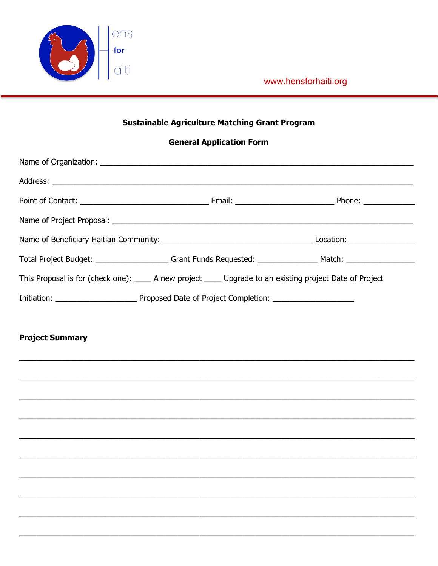

www.hensforhaiti.org

## **Sustainable Agriculture Matching Grant Program**

### **General Application Form**

|  | This Proposal is for (check one): ______ A new project ______ Upgrade to an existing project Date of Project |  |
|--|--------------------------------------------------------------------------------------------------------------|--|
|  |                                                                                                              |  |

# **Project Summary**